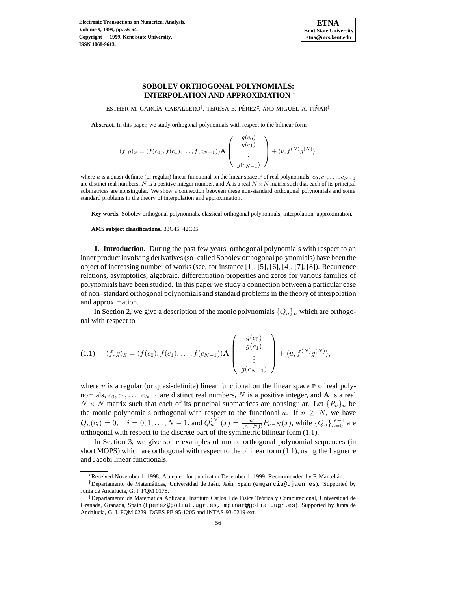

# **SOBOLEV ORTHOGONAL POLYNOMIALS: INTERPOLATION AND APPROXIMATION** <sup>∗</sup>

ESTHER M. GARCÍA–CABALLERO<sup>†</sup>, TERESA E. PÉREZ<sup>‡</sup>, AND MIGUEL A. PIÑAR<sup>‡</sup>

**Abstract.** In this paper, we study orthogonal polynomials with respect to the bilinear form

$$
(f,g)_S = (f(c_0), f(c_1), \dots, f(c_{N-1})) \mathbf{A} \begin{pmatrix} g(c_0) \\ g(c_1) \\ \vdots \\ g(c_{N-1}) \end{pmatrix} + \langle u, f^{(N)}g^{(N)} \rangle,
$$

where u is a quasi-definite (or regular) linear functional on the linear space P of real polynomials,  $c_0, c_1, \ldots, c_{N-1}$ are distinct real numbers, N is a positive integer number, and  $\bf{A}$  is a real  $N \times N$  matrix such that each of its principal submatrices are nonsingular. We show a connection between these non-standard orthogonal polynomials and some standard problems in the theory of interpolation and approximation.

**Key words.** Sobolev orthogonal polynomials, classical orthogonal polynomials, interpolation, approximation.

**AMS subject classifications.** 33C45, 42C05.

**1. Introduction.** During the past few years, orthogonal polynomials with respect to an inner product involving derivatives (so–called Sobolev orthogonal polynomials) have been the object of increasing number of works (see, for instance [1], [5], [6], [4], [7], [8]). Recurrence relations, asymptotics, algebraic, differentiation properties and zeros for various families of polynomials have been studied. In this paper we study a connection between a particular case of non–standard orthogonal polynomials and standard problems in the theory of interpolation and approximation.

In Section 2, we give a description of the monic polynomials  $\{Q_n\}_n$  which are orthogonal with respect to

$$
(1.1) \quad (f,g)_S = (f(c_0), f(c_1), \dots, f(c_{N-1})) \mathbf{A} \begin{pmatrix} g(c_0) \\ g(c_1) \\ \vdots \\ g(c_{N-1}) \end{pmatrix} + \langle u, f^{(N)}g^{(N)} \rangle,
$$

where  $u$  is a regular (or quasi-definite) linear functional on the linear space  $P$  of real polynomials,  $c_0, c_1, \ldots, c_{N-1}$  are distinct real numbers, N is a positive integer, and **A** is a real  $N \times N$  matrix such that each of its principal submatrices are nonsingular. Let  $\{P_n\}_n$  be the monic polynomials orthogonal with respect to the functional u. If  $n \geq N$ , we have  $Q_n(c_i) = 0$ ,  $i = 0, 1, ..., N - 1$ , and  $Q_n^{(N)}(x) = \frac{n!}{(n-N)!} P_{n-N}(x)$ , while  $\{Q_n\}_{n=0}^{N-1}$  are orthogonal with respect to the discrete part of the symmetric bilinear form (1.1).

In Section 3, we give some examples of monic orthogonal polynomial sequences (in short MOPS) which are orthogonal with respect to the bilinear form (1.1), using the Laguerre and Jacobi linear functionals.

<sup>∗</sup>Received November 1, 1998. Accepted for publicaton December 1, 1999. Recommended by F. Marcell´an.

<sup>†</sup>Departamento de Matem´aticas, Universidad de Ja´en, Ja´en, Spain (emgarcia@ujaen.es). Supported by Junta de Andalucía, G. I. FQM 0178.

<sup>‡</sup>Departamento de Matemática Aplicada, Instituto Carlos I de Física Teórica y Computacional, Universidad de Granada, Granada, Spain (tperez@goliat.ugr.es, mpinar@goliat.ugr.es). Supported by Junta de Andalucía, G. I. FQM 0229, DGES PB 95-1205 and INTAS-93-0219-ext.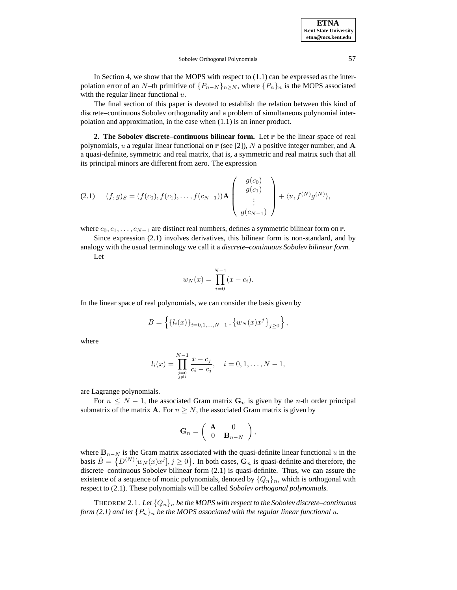### Sobolev Orthogonal Polynomials 57

In Section 4, we show that the MOPS with respect to  $(1.1)$  can be expressed as the interpolation error of an N–th primitive of  $\{P_{n-N}\}_{n\geq N}$ , where  $\{P_n\}_n$  is the MOPS associated with the regular linear functional  $u$ .

The final section of this paper is devoted to establish the relation between this kind of discrete–continuous Sobolev orthogonality and a problem of simultaneous polynomial interpolation and approximation, in the case when (1.1) is an inner product.

**2. The Sobolev discrete–continuous bilinear form.** Let  $\mathbb{P}$  be the linear space of real polynomials, u a regular linear functional on  $P$  (see [2]), N a positive integer number, and A a quasi-definite, symmetric and real matrix, that is, a symmetric and real matrix such that all its principal minors are different from zero. The expression

(2.1) 
$$
(f,g)_S = (f(c_0), f(c_1), \dots, f(c_{N-1})) \mathbf{A} \begin{pmatrix} g(c_0) \\ g(c_1) \\ \vdots \\ g(c_{N-1}) \end{pmatrix} + \langle u, f^{(N)}g^{(N)} \rangle,
$$

where  $c_0, c_1, \ldots, c_{N-1}$  are distinct real numbers, defines a symmetric bilinear form on P.

Since expression (2.1) involves derivatives, this bilinear form is non-standard, and by analogy with the usual terminology we call it a *discrete–continuous Sobolev bilinear form*.

Let

$$
w_N(x) = \prod_{i=0}^{N-1} (x - c_i).
$$

In the linear space of real polynomials, we can consider the basis given by

$$
B = \left\{ \{l_i(x)\}_{i=0,1,\dots,N-1}, \{w_N(x)x^j\}_{j\geq 0} \right\},\
$$

where

$$
l_i(x) = \prod_{\substack{j=0 \ j \neq i}}^{N-1} \frac{x - c_j}{c_i - c_j}, \quad i = 0, 1, \dots, N-1,
$$

are Lagrange polynomials.

For  $n \leq N - 1$ , the associated Gram matrix  $G_n$  is given by the *n*-th order principal submatrix of the matrix **A**. For  $n \geq N$ , the associated Gram matrix is given by

$$
\mathbf{G}_n = \left( \begin{array}{cc} \mathbf{A} & 0 \\ 0 & \mathbf{B}_{n-N} \end{array} \right),
$$

where  **is the Gram matrix associated with the quasi-definite linear functional u in the** basis  $\tilde{B} = \{D^{(N)}[w_N(x)x^j], j \ge 0\}$ . In both cases,  $\tilde{G}_n$  is quasi-definite and therefore, the discrete–continuous Sobolev bilinear form (2.1) is quasi-definite. Thus, we can assure the existence of a sequence of monic polynomials, denoted by  $\{Q_n\}_n$ , which is orthogonal with respect to (2.1). These polynomials will be called *Sobolev orthogonal polynomials*.

THEOREM 2.1. *Let*  $\{Q_n\}_n$  *be the MOPS with respect to the Sobolev discrete–continuous form* (2.1) and let  $\{P_n\}_n$  *be the MOPS associated with the regular linear functional u.*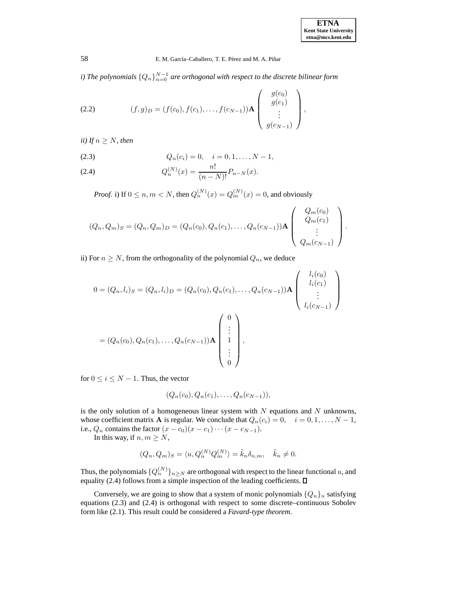*i)* The polynomials  $\{Q_n\}_{n=0}^{N-1}$  are orthogonal with respect to the discrete bilinear form

(2.2) 
$$
(f,g)_D = (f(c_0), f(c_1), \dots, f(c_{N-1})) \mathbf{A} \begin{pmatrix} g(c_0) \\ g(c_1) \\ \vdots \\ g(c_{N-1}) \end{pmatrix},
$$

*ii)* If  $n \geq N$ *, then* 

(2.3) 
$$
Q_n(c_i) = 0, \quad i = 0, 1, ..., N-1,
$$

(2.4) 
$$
Q_n^{(N)}(x) = \frac{n!}{(n-N)!} P_{n-N}(x).
$$

*Proof.* i) If  $0 \le n, m < N$ , then  $Q_n^{(N)}(x) = Q_m^{(N)}(x) = 0$ , and obviously

$$
(Q_n, Q_m)_S = (Q_n, Q_m)_D = (Q_n(c_0), Q_n(c_1), \dots, Q_n(c_{N-1})) \mathbf{A} \begin{pmatrix} Q_m(c_0) \\ Q_m(c_1) \\ \vdots \\ Q_m(c_{N-1}) \end{pmatrix}.
$$

ii) For  $n \geq N$ , from the orthogonality of the polynomial  $Q_n$ , we deduce

$$
0 = (Q_n, l_i)_S = (Q_n, l_i)_D = (Q_n(c_0), Q_n(c_1), \dots, Q_n(c_{N-1})) \mathbf{A} \begin{pmatrix} l_i(c_0) \\ l_i(c_1) \\ \vdots \\ l_i(c_{N-1}) \end{pmatrix}
$$
  
=  $(Q_n(c_0), Q_n(c_1), \dots, Q_n(c_{N-1})) \mathbf{A} \begin{pmatrix} 0 \\ \vdots \\ 1 \\ \vdots \\ 0 \end{pmatrix},$ 

for  $0 \le i \le N - 1$ . Thus, the vector

$$
(Q_n(c_0), Q_n(c_1), \ldots, Q_n(c_{N-1})),
$$

is the only solution of a homogeneous linear system with  $N$  equations and  $N$  unknowns, whose coefficient matrix **A** is regular. We conclude that  $Q_n(c_i)=0, \quad i = 0, 1, \ldots, N-1$ , i.e.,  $Q_n$  contains the factor  $(x - c_0)(x - c_1) \cdots (x - c_{N-1}).$ 

In this way, if  $n, m \geq N$ ,

$$
(Q_n, Q_m)_S = \langle u, Q_n^{(N)} Q_m^{(N)} \rangle = \tilde{k}_n \delta_{n,m}, \quad \tilde{k}_n \neq 0.
$$

Thus, the polynomials  $\{Q_n^{(N)}\}_{n \geq N}$  are orthogonal with respect to the linear functional u, and equality (2.4) follows from a simple inspection of the leading coefficients.  $\Box$ 

Conversely, we are going to show that a system of monic polynomials  $\{Q_n\}_n$  satisfying equations (2.3) and (2.4) is orthogonal with respect to some discrete–continuous Sobolev form like (2.1). This result could be considered a *Favard-type theorem*.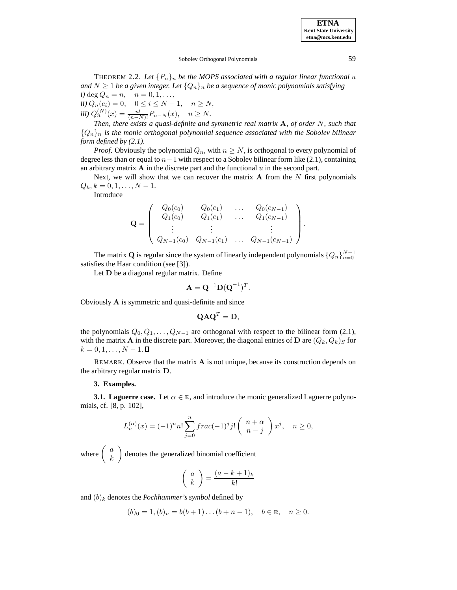## Sobolev Orthogonal Polynomials 59

THEOREM 2.2. Let  $\{P_n\}_n$  be the MOPS associated with a regular linear functional u *and*  $N \geq 1$  *be a given integer. Let*  $\{Q_n\}_n$  *be a sequence of monic polynomials satisfying i*) deg  $Q_n = n$ ,  $n = 0, 1, ...,$ 

*ii*)  $Q_n(c_i) = 0, \quad 0 \le i \le N - 1, \quad n \ge N,$ *iii)*  $Q_n^{(N)}(x) = \frac{n!}{(n-N)!} P_{n-N}(x), \quad n \ge N.$ 

*Then, there exists a quasi-definite and symmetric real matrix* **A***, of order* N*, such that*  ${Q_n}_n$  *is the monic orthogonal polynomial sequence associated with the Sobolev bilinear form defined by (2.1).*

*Proof.* Obviously the polynomial  $Q_n$ , with  $n \geq N$ , is orthogonal to every polynomial of degree less than or equal to  $n-1$  with respect to a Sobolev bilinear form like (2.1), containing an arbitrary matrix  $\bf{A}$  in the discrete part and the functional  $u$  in the second part.

Next, we will show that we can recover the matrix  $A$  from the  $N$  first polynomials  $Q_k, k = 0, 1, \ldots, N - 1.$ 

Introduce

$$
\mathbf{Q} = \left( \begin{array}{cccc} Q_0(c_0) & Q_0(c_1) & \dots & Q_0(c_{N-1}) \\ Q_1(c_0) & Q_1(c_1) & \dots & Q_1(c_{N-1}) \\ \vdots & \vdots & & \vdots \\ Q_{N-1}(c_0) & Q_{N-1}(c_1) & \dots & Q_{N-1}(c_{N-1}) \end{array} \right).
$$

The matrix **Q** is regular since the system of linearly independent polynomials  $\{Q_n\}_{n=0}^{N-1}$ satisfies the Haar condition (see [3]).

Let **D** be a diagonal regular matrix. Define

$$
\mathbf{A} = \mathbf{Q}^{-1} \mathbf{D} (\mathbf{Q}^{-1})^T.
$$

Obviously **A** is symmetric and quasi-definite and since

$$
\mathbf{Q}\mathbf{A}\mathbf{Q}^T = \mathbf{D},
$$

the polynomials  $Q_0, Q_1, \ldots, Q_{N-1}$  are orthogonal with respect to the bilinear form (2.1), with the matrix **A** in the discrete part. Moreover, the diagonal entries of **D** are  $(Q_k, Q_k)_S$  for  $k = 0, 1, \ldots, N - 1$ .

REMARK. Observe that the matrix **A** is not unique, because its construction depends on the arbitrary regular matrix **D**.

# **3. Examples.**

**3.1. Laguerre case.** Let  $\alpha \in \mathbb{R}$ , and introduce the monic generalized Laguerre polynomials, cf. [8, p. 102],

$$
L_n^{(\alpha)}(x) = (-1)^n n! \sum_{j=0}^n \operatorname{frac}(-1)^j j! \binom{n+\alpha}{n-j} x^j, \quad n \ge 0,
$$

where  $\begin{pmatrix} a \\ k \end{pmatrix}$ denotes the generalized binomial coefficient

$$
\left(\begin{array}{c} a \\ k \end{array}\right) = \frac{(a-k+1)_k}{k!}
$$

and  $(b)_k$  denotes the *Pochhammer's symbol* defined by

$$
(b)0 = 1, (b)n = b(b+1)...(b+n-1), \quad b \in \mathbb{R}, \quad n \ge 0.
$$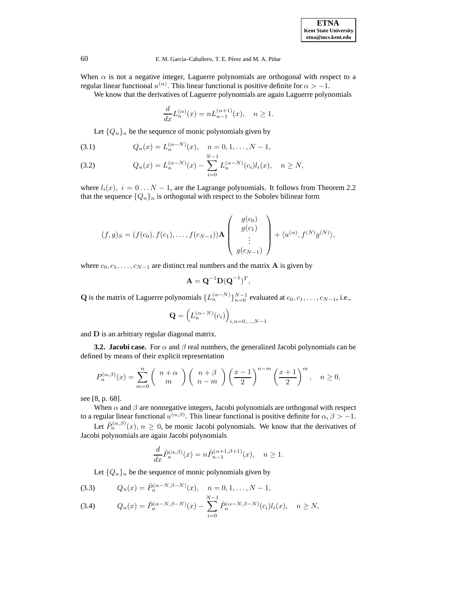When  $\alpha$  is not a negative integer, Laguerre polynomials are orthogonal with respect to a regular linear functional  $u^{(\alpha)}$ . This linear functional is positive definite for  $\alpha > -1$ .

We know that the derivatives of Laguerre polynomials are again Laguerre polynomials

$$
\frac{d}{dx}L_n^{(\alpha)}(x) = nL_{n-1}^{(\alpha+1)}(x), \quad n \ge 1.
$$

Let  $\{Q_n\}_n$  be the sequence of monic polynomials given by

(3.1) 
$$
Q_n(x) = L_n^{(\alpha - N)}(x), \quad n = 0, 1, ..., N - 1,
$$

(3.2) 
$$
Q_n(x) = L_n^{(\alpha - N)}(x) - \sum_{i=0}^{N-1} L_n^{(\alpha - N)}(c_i) l_i(x), \quad n \ge N,
$$

where  $l_i(x)$ ,  $i = 0...N - 1$ , are the Lagrange polynomials. It follows from Theorem 2.2 that the sequence  $\{Q_n\}_n$  is orthogonal with respect to the Sobolev bilinear form

$$
(f,g)_S = (f(c_0), f(c_1), \ldots, f(c_{N-1})) \mathbf{A} \begin{pmatrix} g(c_0) \\ g(c_1) \\ \vdots \\ g(c_{N-1}) \end{pmatrix} + \langle u^{(\alpha)}, f^{(N)}g^{(N)} \rangle,
$$

where  $c_0, c_1, \ldots, c_{N-1}$  are distinct real numbers and the matrix **A** is given by

$$
\mathbf{A} = \mathbf{Q}^{-1} \mathbf{D} (\mathbf{Q}^{-1})^T,
$$

**Q** is the matrix of Laguerre polynomials  $\{L_n^{(\alpha-N)}\}_{n=0}^{N-1}$  evaluated at  $c_0, c_1, \ldots, c_{N-1}$ , i.e.,

$$
\mathbf{Q} = \left( L_n^{(\alpha - N)}(c_i) \right)_{i,n = 0,\dots,N-1}
$$

and **D** is an arbitrary regular diagonal matrix.

**3.2. Jacobi case.** For  $\alpha$  and  $\beta$  real numbers, the generalized Jacobi polynomials can be defined by means of their explicit representation

$$
P_n^{(\alpha,\beta)}(x) = \sum_{m=0}^n {n+\alpha \choose m} {n+\beta \choose n-m} \left(\frac{x-1}{2}\right)^{n-m} {x+1 \choose 2}^m, \quad n \ge 0,
$$

see [8, p. 68].

When  $\alpha$  and  $\beta$  are nonnegative integers, Jacobi polynomials are orthogonal with respect to a regular linear functional  $u^{(\alpha,\beta)}$ . This linear functional is positive definite for  $\alpha, \beta > -1$ .

Let  $\tilde{P}_n^{(\alpha,\beta)}(x), n \geq 0$ , be monic Jacobi polynomials. We know that the derivatives of Jacobi polynomials are again Jacobi polynomials

$$
\frac{d}{dx}\tilde{P}_n^{(\alpha,\beta)}(x) = n\tilde{P}_{n-1}^{(\alpha+1,\beta+1)}(x), \quad n \ge 1.
$$

 $\overline{i=0}$ 

Let  $\{Q_n\}_n$  be the sequence of monic polynomials given by

(3.3) 
$$
Q_n(x) = \tilde{P}_n^{(\alpha - N, \beta - N)}(x), \quad n = 0, 1, ..., N - 1,
$$
  
\n(3.4)  $Q_n(x) = \tilde{P}_n^{(\alpha - N, \beta - N)}(x) - \sum_{n=0}^{N-1} \tilde{P}_n^{(\alpha - N, \beta - N)}(c_i) l_i(x), \quad n \ge N,$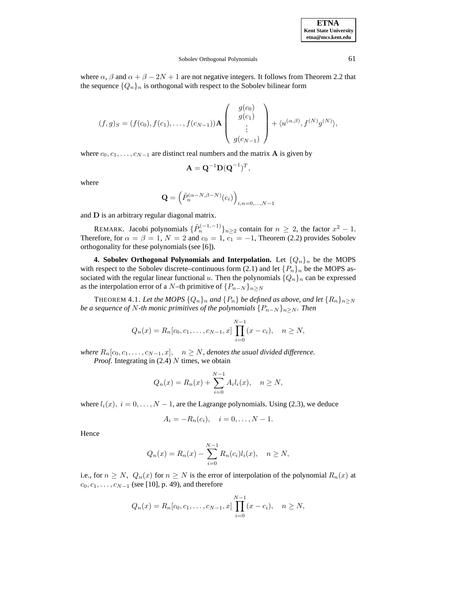**ETNA**

### Sobolev Orthogonal Polynomials 61

where  $\alpha$ ,  $\beta$  and  $\alpha + \beta - 2N + 1$  are not negative integers. It follows from Theorem 2.2 that the sequence  $\{Q_n\}_n$  is orthogonal with respect to the Sobolev bilinear form

$$
(f,g)_S = (f(c_0), f(c_1), \dots, f(c_{N-1})) \mathbf{A} \begin{pmatrix} g(c_0) \\ g(c_1) \\ \vdots \\ g(c_{N-1}) \end{pmatrix} + \langle u^{(\alpha,\beta)}, f^{(N)}g^{(N)} \rangle,
$$

where  $c_0, c_1, \ldots, c_{N-1}$  are distinct real numbers and the matrix **A** is given by

$$
\mathbf{A} = \mathbf{Q}^{-1} \mathbf{D} (\mathbf{Q}^{-1})^T,
$$

where

$$
\mathbf{Q} = \left(\tilde{P}_n^{(\alpha-N,\beta-N)}(c_i)\right)_{i,n=0,\dots,N-1}
$$

and **D** is an arbitrary regular diagonal matrix.

REMARK. Jacobi polynomials  $\{\tilde{P}_n^{(-1,-1)}\}_{n\geq 2}$  contain for  $n \geq 2$ , the factor  $x^2 - 1$ . Therefore, for  $\alpha = \beta = 1$ ,  $N = 2$  and  $c_0 = 1$ ,  $c_1 = -1$ , Theorem (2.2) provides Sobolev orthogonality for these polynomials (see [6]).

**4. Sobolev Orthogonal Polynomials and Interpolation.** Let  $\{Q_n\}_n$  be the MOPS with respect to the Sobolev discrete–continuous form (2.1) and let  $\{P_n\}_n$  be the MOPS associated with the regular linear functional u. Then the polynomials  $\{Q_n\}_n$  can be expressed as the interpolation error of a N–th primitive of  ${P_{n-N}}_{n>N}$ 

THEOREM 4.1. Let the MOPS  ${Q_n}_n$  and  ${P_n}$  be defined as above, and let  ${R_n}_n > N$ *be a sequence of* N-th monic primitives of the polynomials  $\{P_{n-N}\}_{n\geq N}$ *. Then* 

$$
Q_n(x) = R_n[c_0, c_1, \dots, c_{N-1}, x] \prod_{i=0}^{N-1} (x - c_i), \quad n \ge N,
$$

*where*  $R_n[c_0, c_1, \ldots, c_{N-1}, x]$ ,  $n \geq N$ , denotes the usual divided difference.

*Proof.* Integrating in (2.4) N times, we obtain

$$
Q_n(x) = R_n(x) + \sum_{i=0}^{N-1} A_i l_i(x), \quad n \ge N,
$$

where  $l_i(x)$ ,  $i = 0, \ldots, N - 1$ , are the Lagrange polynomials. Using (2.3), we deduce

$$
A_i = -R_n(c_i), \quad i = 0, \ldots, N-1.
$$

Hence

$$
Q_n(x) = R_n(x) - \sum_{i=0}^{N-1} R_n(c_i) l_i(x), \quad n \ge N,
$$

i.e., for  $n \geq N$ ,  $Q_n(x)$  for  $n \geq N$  is the error of interpolation of the polynomial  $R_n(x)$  at  $c_0, c_1, \ldots, c_{N-1}$  (see [10], p. 49), and therefore

$$
Q_n(x) = R_n[c_0, c_1, \dots, c_{N-1}, x] \prod_{i=0}^{N-1} (x - c_i), \quad n \ge N,
$$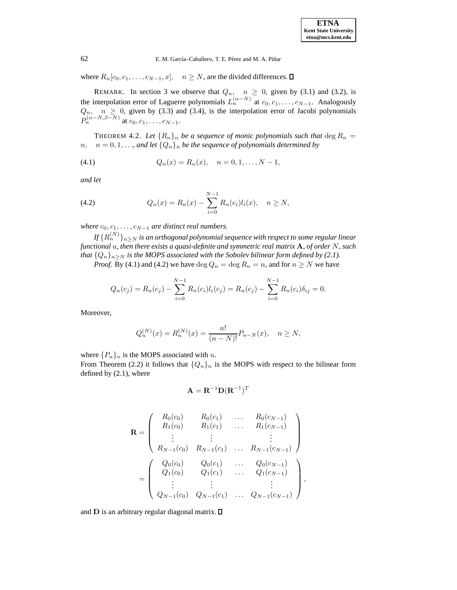where  $R_n[c_0, c_1, \ldots, c_{N-1}, x], \quad n \ge N$ , are the divided differences.  $\square$ 

REMARK. In section 3 we observe that  $Q_n$ ,  $n \geq 0$ , given by (3.1) and (3.2), is the interpolation error of Laguerre polynomials  $L_n^{(\alpha-N)}$  at  $c_0, c_1, \ldots, c_{N-1}$ . Analogously  $Q_n$ ,  $n \geq 0$ , given by (3.3) and (3.4), is the interpolation error of Jacobi polynomials  $P_n^{(\alpha-N,\beta-N)}$  at  $c_0, c_1, \ldots, c_{N-1}.$ 

THEOREM 4.2. Let  $\{R_n\}_n$  be a sequence of monic polynomials such that  $\deg R_n =$  $n, n = 0, 1, \ldots$ , and let  $\{Q_n\}_n$  be the sequence of polynomials determined by

(4.1) 
$$
Q_n(x) = R_n(x), \quad n = 0, 1, ..., N-1,
$$

*and let*

(4.2) 
$$
Q_n(x) = R_n(x) - \sum_{i=0}^{N-1} R_n(c_i) l_i(x), \quad n \ge N,
$$

*where*  $c_0, c_1, \ldots, c_{N-1}$  *are distinct real numbers.* 

*If*  ${R_n^{(N)}}_{n \geq N}$  *is an orthogonal polynomial sequence with respect to some regular linear functional* u*, then there exists a quasi-definite and symmetric real matrix* **A***, of order* N*, such that*  $\{Q_n\}_{n\geq N}$  *is the MOPS associated with the Sobolev bilinear form defined by (2.1).* 

*Proof.* By (4.1) and (4.2) we have  $\deg Q_n = \deg R_n = n$ , and for  $n \geq N$  we have

$$
Q_n(c_j) = R_n(c_j) - \sum_{i=0}^{N-1} R_n(c_i) l_i(c_j) = R_n(c_j) - \sum_{i=0}^{N-1} R_n(c_i) \delta_{ij} = 0.
$$

Moreover,

$$
Q_n^{(N)}(x) = R_n^{(N)}(x) = \frac{n!}{(n-N)!} P_{n-N}(x), \quad n \ge N,
$$

where  $\{P_n\}_n$  is the MOPS associated with u.

From Theorem (2.2) it follows that  $\{Q_n\}_n$  is the MOPS with respect to the bilinear form defined by (2.1), where

$$
\mathbf{A} = \mathbf{R}^{-1} \mathbf{D} (\mathbf{R}^{-1})^T
$$

$$
\mathbf{R} = \begin{pmatrix} R_0(c_0) & R_0(c_1) & \dots & R_0(c_{N-1}) \\ R_1(c_0) & R_1(c_1) & \dots & R_1(c_{N-1}) \\ \vdots & \vdots & \ddots & \vdots \\ R_{N-1}(c_0) & R_{N-1}(c_1) & \dots & R_{N-1}(c_{N-1}) \end{pmatrix}
$$

$$
= \begin{pmatrix} Q_0(c_0) & Q_0(c_1) & \dots & Q_0(c_{N-1}) \\ Q_1(c_0) & Q_1(c_1) & \dots & Q_1(c_{N-1}) \\ \vdots & \vdots & \vdots & \vdots \\ Q_{N-1}(c_0) & Q_{N-1}(c_1) & \dots & Q_{N-1}(c_{N-1}) \end{pmatrix},
$$

and **D** is an arbitrary regular diagonal matrix.  $\square$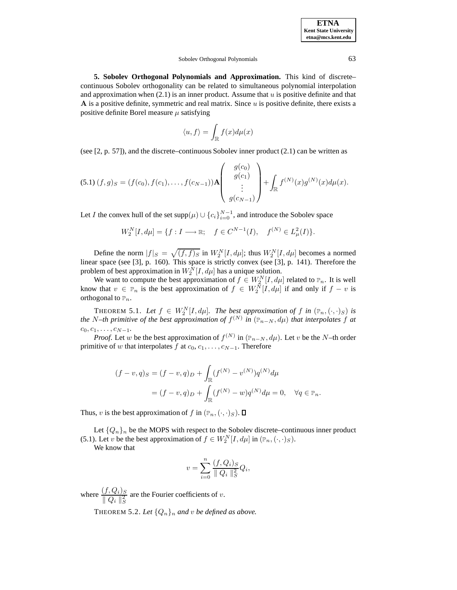### Sobolev Orthogonal Polynomials 63

**5. Sobolev Orthogonal Polynomials and Approximation.** This kind of discrete– continuous Sobolev orthogonality can be related to simultaneous polynomial interpolation and approximation when  $(2.1)$  is an inner product. Assume that u is positive definite and that **A** is a positive definite, symmetric and real matrix. Since u is positive definite, there exists a positive definite Borel measure  $\mu$  satisfying

$$
\langle u,f\rangle=\int_{\mathbb{R}}f(x)d\mu(x)
$$

(see  $[2, p. 57]$ ), and the discrete–continuous Sobolev inner product  $(2.1)$  can be written as

$$
(5.1) (f,g)S = (f(c_0), f(c_1), \ldots, f(c_{N-1}))\mathbf{A} \begin{pmatrix} g(c_0) \\ g(c_1) \\ \vdots \\ g(c_{N-1}) \end{pmatrix} + \int_{\mathbb{R}} f^{(N)}(x)g^{(N)}(x) d\mu(x).
$$

Let *I* the convex hull of the set  $\text{supp}(\mu) \cup \{c_i\}_{i=0}^{N-1}$ , and introduce the Sobolev space

$$
W_2^N[I, d\mu] = \{ f : I \longrightarrow \mathbb{R}; \quad f \in C^{N-1}(I), \quad f^{(N)} \in L^2_{\mu}(I) \}.
$$

Define the norm  $|f|_S = \sqrt{(f, f)_S}$  in  $W_2^N[I, d\mu]$ ; thus  $W_2^N[I, d\mu]$  becomes a normed linear space (see [3], p. 160). This space is strictly convex (see [3], p. 141). Therefore the problem of best approximation in  $W_2^N[I, d\mu]$  has a unique solution.

We want to compute the best approximation of  $f \in W_2^N[I, d\mu]$  related to  $\mathbb{P}_n$ . It is well know that  $v \in \mathbb{P}_n$  is the best approximation of  $f \in W_2^N[I, d\mu]$  if and only if  $f - v$  is orthogonal to  $\mathbb{P}_n$ .

THEOREM 5.1. Let  $f \in W_2^N[I, d\mu]$ . The best approximation of f in  $(\mathbb{P}_n, (\cdot, \cdot)_S)$  is *the* N–th primitive of the best approximation of  $f^{(N)}$  in  $(\mathbb{P}_{n-N}, d\mu)$  that interpolates f at  $c_0, c_1, \ldots, c_{N-1}$ 

*Proof.* Let w be the best approximation of  $f^{(N)}$  in ( $\mathbb{P}_{n-N}$ ,  $d\mu$ ). Let v be the N–th order primitive of w that interpolates f at  $c_0, c_1, \ldots, c_{N-1}$ . Therefore

$$
(f - v, q)_S = (f - v, q)_D + \int_{\mathbb{R}} (f^{(N)} - v^{(N)}) q^{(N)} d\mu
$$
  
=  $(f - v, q)_D + \int_{\mathbb{R}} (f^{(N)} - w) q^{(N)} d\mu = 0, \quad \forall q \in \mathbb{P}_n.$ 

Thus, v is the best approximation of f in  $(\mathbb{P}_n, (\cdot, \cdot)_S)$ .  $\square$ 

Let  $\{Q_n\}_n$  be the MOPS with respect to the Sobolev discrete–continuous inner product (5.1). Let v be the best approximation of  $f \in W_2^N[I, d\mu]$  in  $(\mathbb{P}_n, (\cdot, \cdot)_S)$ .

We know that

$$
v = \sum_{i=0}^{n} \frac{(f, Q_i)_S}{\| Q_i \|_S^2} Q_i,
$$

where  $\frac{(f, Q_i)_S}{\parallel Q_i \parallel_S^2}$ are the Fourier coefficients of  $v$ .

THEOREM 5.2. Let  $\{Q_n\}_n$  and v be defined as above.